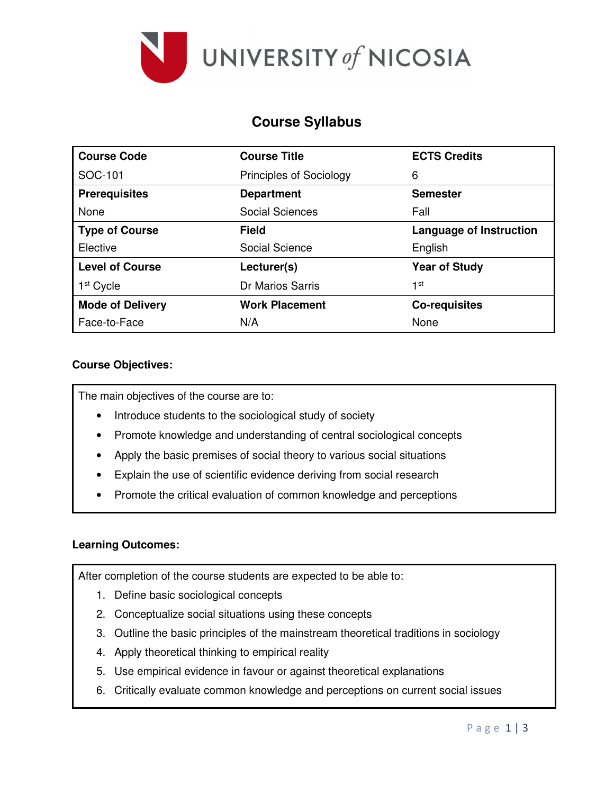

# **Course Syllabus**

| <b>Course Code</b>      | <b>Course Title</b>            | <b>ECTS Credits</b>            |
|-------------------------|--------------------------------|--------------------------------|
| SOC-101                 | <b>Principles of Sociology</b> | 6                              |
| <b>Prerequisites</b>    | <b>Department</b>              | <b>Semester</b>                |
| None                    | <b>Social Sciences</b>         | Fall                           |
| <b>Type of Course</b>   | Field                          | <b>Language of Instruction</b> |
| Elective                | Social Science                 | English                        |
| <b>Level of Course</b>  | Lecturer(s)                    | <b>Year of Study</b>           |
| 1 <sup>st</sup> Cycle   | Dr Marios Sarris               | 1st                            |
| <b>Mode of Delivery</b> | <b>Work Placement</b>          | <b>Co-requisites</b>           |
| Face-to-Face            | N/A                            | None                           |

#### **Course Objectives:**

The main objectives of the course are to:

- Introduce students to the sociological study of society
- Promote knowledge and understanding of central sociological concepts
- Apply the basic premises of social theory to various social situations
- Explain the use of scientific evidence deriving from social research
- Promote the critical evaluation of common knowledge and perceptions

#### **Learning Outcomes:**

After completion of the course students are expected to be able to:

- 1. Define basic sociological concepts
- 2. Conceptualize social situations using these concepts
- 3. Outline the basic principles of the mainstream theoretical traditions in sociology
- 4. Apply theoretical thinking to empirical reality
- 5. Use empirical evidence in favour or against theoretical explanations
- 6. Critically evaluate common knowledge and perceptions on current social issues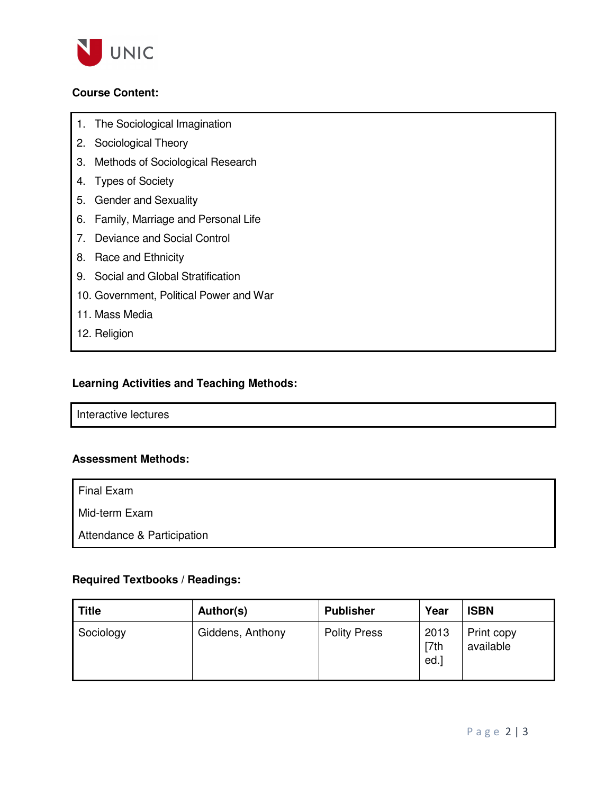

## **Course Content:**

- 1. The Sociological Imagination
- 2. Sociological Theory
- 3. Methods of Sociological Research
- 4. Types of Society
- 5. Gender and Sexuality
- 6. Family, Marriage and Personal Life
- 7. Deviance and Social Control
- 8. Race and Ethnicity
- 9. Social and Global Stratification
- 10. Government, Political Power and War
- 11. Mass Media
- 12. Religion

## **Learning Activities and Teaching Methods:**

Interactive lectures

## **Assessment Methods:**

Final Exam

Mid-term Exam

Attendance & Participation

#### **Required Textbooks / Readings:**

| Title     | Author(s)        | <b>Publisher</b>    | Year                 | <b>ISBN</b>             |
|-----------|------------------|---------------------|----------------------|-------------------------|
| Sociology | Giddens, Anthony | <b>Polity Press</b> | 2013<br>[7th]<br>ed. | Print copy<br>available |